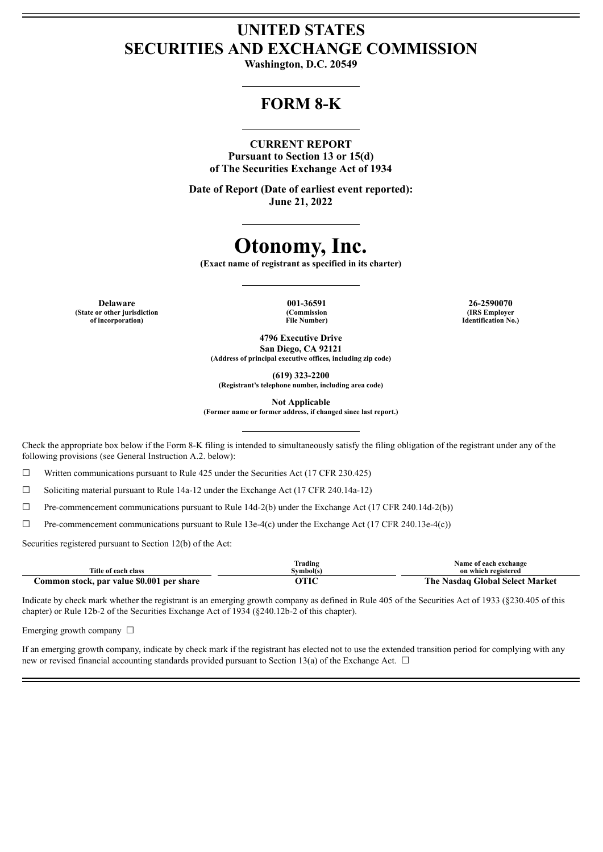## **UNITED STATES SECURITIES AND EXCHANGE COMMISSION**

**Washington, D.C. 20549**

### **FORM 8-K**

#### **CURRENT REPORT**

**Pursuant to Section 13 or 15(d) of The Securities Exchange Act of 1934**

**Date of Report (Date of earliest event reported): June 21, 2022**

# **Otonomy, Inc.**

**(Exact name of registrant as specified in its charter)**

**Delaware 001-36591 26-2590070 (State or other jurisdiction of incorporation)**

**(Commission File Number)**

**(IRS Employer Identification No.)**

**4796 Executive Drive San Diego, CA 92121 (Address of principal executive offices, including zip code)**

**(619) 323-2200**

**(Registrant's telephone number, including area code)**

**Not Applicable**

**(Former name or former address, if changed since last report.)**

Check the appropriate box below if the Form 8-K filing is intended to simultaneously satisfy the filing obligation of the registrant under any of the following provisions (see General Instruction A.2. below):

 $\Box$  Written communications pursuant to Rule 425 under the Securities Act (17 CFR 230.425)

 $\Box$  Soliciting material pursuant to Rule 14a-12 under the Exchange Act (17 CFR 240.14a-12)

 $\Box$  Pre-commencement communications pursuant to Rule 14d-2(b) under the Exchange Act (17 CFR 240.14d-2(b))

 $\Box$  Pre-commencement communications pursuant to Rule 13e-4(c) under the Exchange Act (17 CFR 240.13e-4(c))

Securities registered pursuant to Section 12(b) of the Act:

| Title of each class                       | Trading<br>Symbol(s) | Name of each exchange<br>on which registered |
|-------------------------------------------|----------------------|----------------------------------------------|
| Common stock, par value \$0.001 per share | этіс                 | The Nasdaq Global Select Market              |

Indicate by check mark whether the registrant is an emerging growth company as defined in Rule 405 of the Securities Act of 1933 (§230.405 of this chapter) or Rule 12b-2 of the Securities Exchange Act of 1934 (§240.12b-2 of this chapter).

Emerging growth company  $\Box$ 

If an emerging growth company, indicate by check mark if the registrant has elected not to use the extended transition period for complying with any new or revised financial accounting standards provided pursuant to Section 13(a) of the Exchange Act.  $\Box$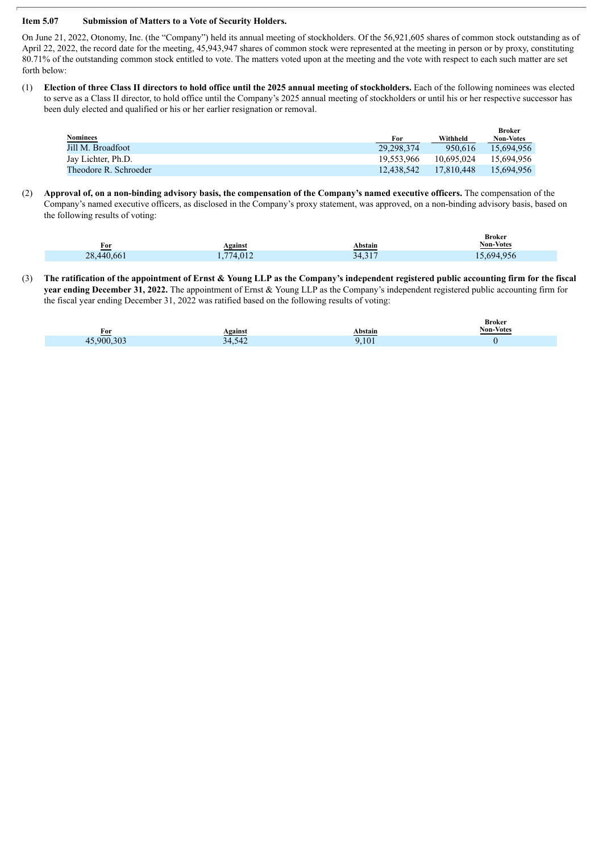#### **Item 5.07 Submission of Matters to a Vote of Security Holders.**

On June 21, 2022, Otonomy, Inc. (the "Company") held its annual meeting of stockholders. Of the 56,921,605 shares of common stock outstanding as of April 22, 2022, the record date for the meeting, 45,943,947 shares of common stock were represented at the meeting in person or by proxy, constituting 80.71% of the outstanding common stock entitled to vote. The matters voted upon at the meeting and the vote with respect to each such matter are set forth below:

(1) Election of three Class II directors to hold office until the 2025 annual meeting of stockholders. Each of the following nominees was elected to serve as a Class II director, to hold office until the Company's 2025 annual meeting of stockholders or until his or her respective successor has been duly elected and qualified or his or her earlier resignation or removal.

|                       |            |            | <b>Broker</b>    |
|-----------------------|------------|------------|------------------|
| <b>Nominees</b>       | For        | Withheld   | <b>Non-Votes</b> |
| Jill M. Broadfoot     | 29.298.374 | 950.616    | 15.694.956       |
| Jay Lichter, Ph.D.    | 19.553.966 | 10.695.024 | 15.694.956       |
| Theodore R. Schroeder | 12.438.542 | 17.810.448 | 15.694.956       |

(2) Approval of, on a non-binding advisory basis, the compensation of the Company's named executive officers. The compensation of the Company's named executive officers, as disclosed in the Company's proxy statement, was approved, on a non-binding advisory basis, based on the following results of voting:

|            |         |         | вгокег           |
|------------|---------|---------|------------------|
| For        | Against | Abstain | <b>Non-Votes</b> |
| 28.440.661 | 774.012 | 34,317  | 15,694,956       |

**Broker**

(3) The ratification of the appointment of Ernst & Young LLP as the Company's independent registered public accounting firm for the fiscal **year ending December 31, 2022.** The appointment of Ernst & Young LLP as the Company's independent registered public accounting firm for the fiscal year ending December 31, 2022 was ratified based on the following results of voting:

| $\mathbf{r}$<br>For | Against | Abstain | <b>Broker</b><br><b>Non-Votes</b> |
|---------------------|---------|---------|-----------------------------------|
| 45,900,303          | 34,542  | 9,101   |                                   |